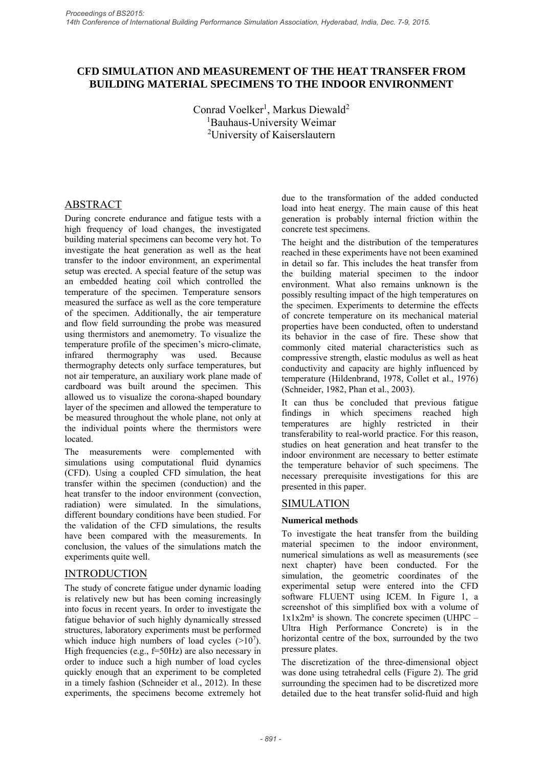# **CFD SIMULATION AND MEASUREMENT OF THE HEAT TRANSFER FROM BUILDING MATERIAL SPECIMENS TO THE INDOOR ENVIRONMENT**

Conrad Voelker<sup>1</sup>, Markus Diewald<sup>2</sup> 1 Bauhaus-University Weimar 2 University of Kaiserslautern

# ABSTRACT

During concrete endurance and fatigue tests with a high frequency of load changes, the investigated building material specimens can become very hot. To investigate the heat generation as well as the heat transfer to the indoor environment, an experimental setup was erected. A special feature of the setup was an embedded heating coil which controlled the temperature of the specimen. Temperature sensors measured the surface as well as the core temperature of the specimen. Additionally, the air temperature and flow field surrounding the probe was measured using thermistors and anemometry. To visualize the temperature profile of the specimen's micro-climate, infrared thermography was used. Because thermography detects only surface temperatures, but not air temperature, an auxiliary work plane made of cardboard was built around the specimen. This allowed us to visualize the corona-shaped boundary layer of the specimen and allowed the temperature to be measured throughout the whole plane, not only at the individual points where the thermistors were **located** 

The measurements were complemented with simulations using computational fluid dynamics (CFD). Using a coupled CFD simulation, the heat transfer within the specimen (conduction) and the heat transfer to the indoor environment (convection, radiation) were simulated. In the simulations, different boundary conditions have been studied. For the validation of the CFD simulations, the results have been compared with the measurements. In conclusion, the values of the simulations match the experiments quite well.

# **INTRODUCTION**

The study of concrete fatigue under dynamic loading is relatively new but has been coming increasingly into focus in recent years. In order to investigate the fatigue behavior of such highly dynamically stressed structures, laboratory experiments must be performed which induce high numbers of load cycles  $(>10<sup>7</sup>)$ . High frequencies (e.g., f=50Hz) are also necessary in order to induce such a high number of load cycles quickly enough that an experiment to be completed in a timely fashion (Schneider et al., 2012). In these experiments, the specimens become extremely hot

due to the transformation of the added conducted load into heat energy. The main cause of this heat generation is probably internal friction within the concrete test specimens.

The height and the distribution of the temperatures reached in these experiments have not been examined in detail so far. This includes the heat transfer from the building material specimen to the indoor environment. What also remains unknown is the possibly resulting impact of the high temperatures on the specimen. Experiments to determine the effects of concrete temperature on its mechanical material properties have been conducted, often to understand its behavior in the case of fire. These show that commonly cited material characteristics such as compressive strength, elastic modulus as well as heat conductivity and capacity are highly influenced by temperature (Hildenbrand, 1978, Collet et al., 1976) (Schneider, 1982, Phan et al., 2003).

It can thus be concluded that previous fatigue findings in which specimens reached high temperatures are highly restricted in their transferability to real-world practice. For this reason, studies on heat generation and heat transfer to the indoor environment are necessary to better estimate the temperature behavior of such specimens. The necessary prerequisite investigations for this are presented in this paper.

## SIMULATION

## **Numerical methods**

To investigate the heat transfer from the building material specimen to the indoor environment, numerical simulations as well as measurements (see next chapter) have been conducted. For the simulation, the geometric coordinates of the experimental setup were entered into the CFD software FLUENT using ICEM. In Figure 1, a screenshot of this simplified box with a volume of  $1x1x2m<sup>3</sup>$  is shown. The concrete specimen (UHPC – Ultra High Performance Concrete) is in the horizontal centre of the box, surrounded by the two pressure plates.

The discretization of the three-dimensional object was done using tetrahedral cells (Figure 2). The grid surrounding the specimen had to be discretized more detailed due to the heat transfer solid-fluid and high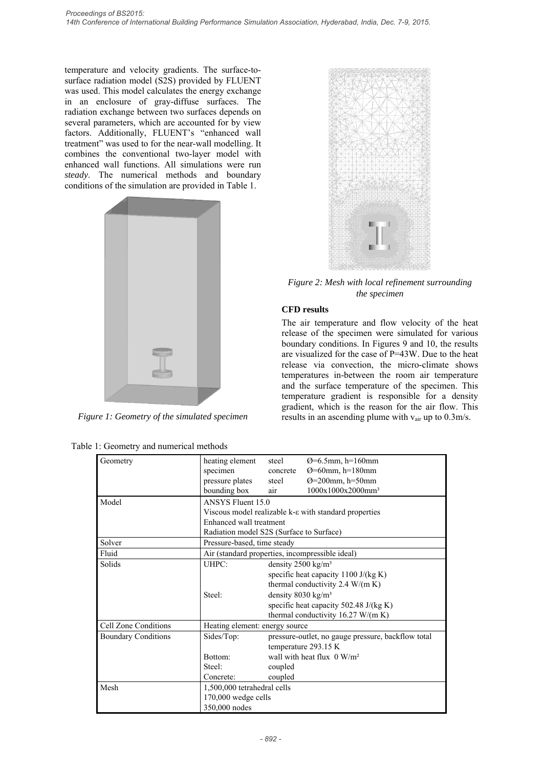temperature and velocity gradients. The surface-tosurface radiation model (S2S) provided by FLUENT was used. This model calculates the energy exchange in an enclosure of gray-diffuse surfaces. The radiation exchange between two surfaces depends on several parameters, which are accounted for by view factors. Additionally, FLUENT's "enhanced wall treatment" was used to for the near-wall modelling. It combines the conventional two-layer model with enhanced wall functions. All simulations were run *steady*. The numerical methods and boundary conditions of the simulation are provided in Table 1.



*Figure 1: Geometry of the simulated specimen* 

| Table 1: Geometry and numerical methods |  |
|-----------------------------------------|--|
|-----------------------------------------|--|



*Figure 2: Mesh with local refinement surrounding the specimen* 

# **CFD results**

The air temperature and flow velocity of the heat release of the specimen were simulated for various boundary conditions. In Figures 9 and 10, the results are visualized for the case of P=43W. Due to the heat release via convection, the micro-climate shows temperatures in-between the room air temperature and the surface temperature of the specimen. This temperature gradient is responsible for a density gradient, which is the reason for the air flow. This results in an ascending plume with vair up to 0.3m/s.

| Geometry                   | heating element                                                                                                                                                | steel                                                                                                                                                                                                                      | $Q=6.5$ mm, h=160mm                   |
|----------------------------|----------------------------------------------------------------------------------------------------------------------------------------------------------------|----------------------------------------------------------------------------------------------------------------------------------------------------------------------------------------------------------------------------|---------------------------------------|
|                            | specimen                                                                                                                                                       | concrete                                                                                                                                                                                                                   | $\varnothing$ =60mm, h=180mm          |
|                            | pressure plates                                                                                                                                                | steel                                                                                                                                                                                                                      | Ø=200mm, h=50mm                       |
|                            | bounding box                                                                                                                                                   | air                                                                                                                                                                                                                        | 1000x1000x2000mm <sup>3</sup>         |
| Model                      | ANSYS Fluent 15.0<br>Viscous model realizable k- $\varepsilon$ with standard properties<br>Enhanced wall treatment<br>Radiation model S2S (Surface to Surface) |                                                                                                                                                                                                                            |                                       |
|                            |                                                                                                                                                                |                                                                                                                                                                                                                            |                                       |
|                            |                                                                                                                                                                |                                                                                                                                                                                                                            |                                       |
|                            |                                                                                                                                                                |                                                                                                                                                                                                                            |                                       |
| Solver                     | Pressure-based, time steady                                                                                                                                    |                                                                                                                                                                                                                            |                                       |
| Fluid                      | Air (standard properties, incompressible ideal)                                                                                                                |                                                                                                                                                                                                                            |                                       |
| Solids                     | UHPC:                                                                                                                                                          | density $2500 \text{ kg/m}^3$<br>specific heat capacity 1100 J/(kg K)<br>thermal conductivity 2.4 W/(m K)<br>density $8030 \text{ kg/m}^3$<br>specific heat capacity 502.48 J/(kg K)<br>thermal conductivity 16.27 W/(m K) |                                       |
|                            |                                                                                                                                                                |                                                                                                                                                                                                                            |                                       |
|                            |                                                                                                                                                                |                                                                                                                                                                                                                            |                                       |
|                            | Steel:                                                                                                                                                         |                                                                                                                                                                                                                            |                                       |
|                            |                                                                                                                                                                |                                                                                                                                                                                                                            |                                       |
|                            |                                                                                                                                                                |                                                                                                                                                                                                                            |                                       |
| Cell Zone Conditions       | Heating element: energy source                                                                                                                                 |                                                                                                                                                                                                                            |                                       |
| <b>Boundary Conditions</b> | Sides/Top:                                                                                                                                                     | pressure-outlet, no gauge pressure, backflow total                                                                                                                                                                         |                                       |
|                            |                                                                                                                                                                |                                                                                                                                                                                                                            | temperature 293.15 K                  |
|                            | Bottom:                                                                                                                                                        |                                                                                                                                                                                                                            | wall with heat flux $0 \text{ W/m}^2$ |
|                            | Steel:                                                                                                                                                         | coupled                                                                                                                                                                                                                    |                                       |
|                            | Concrete:                                                                                                                                                      | coupled                                                                                                                                                                                                                    |                                       |
| Mesh                       | 1,500,000 tetrahedral cells<br>170,000 wedge cells<br>350,000 nodes                                                                                            |                                                                                                                                                                                                                            |                                       |
|                            |                                                                                                                                                                |                                                                                                                                                                                                                            |                                       |
|                            |                                                                                                                                                                |                                                                                                                                                                                                                            |                                       |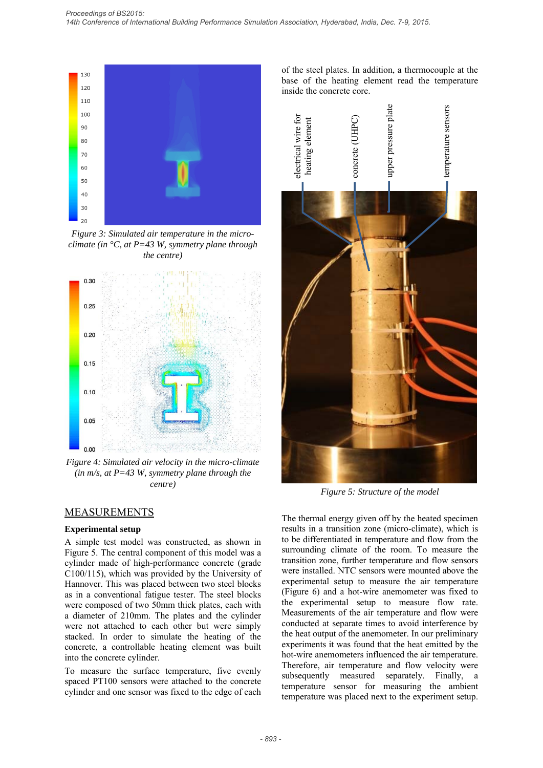

*Figure 3: Simulated air temperature in the microclimate (in °C, at P=43 W, symmetry plane through the centre)* 



*Figure 4: Simulated air velocity in the micro-climate (in m/s, at P=43 W, symmetry plane through the centre)* 

## MEASUREMENTS

#### **Experimental setup**

A simple test model was constructed, as shown in Figure 5. The central component of this model was a cylinder made of high-performance concrete (grade C100/115), which was provided by the University of Hannover. This was placed between two steel blocks as in a conventional fatigue tester. The steel blocks were composed of two 50mm thick plates, each with a diameter of 210mm. The plates and the cylinder were not attached to each other but were simply stacked. In order to simulate the heating of the concrete, a controllable heating element was built into the concrete cylinder.

To measure the surface temperature, five evenly spaced PT100 sensors were attached to the concrete cylinder and one sensor was fixed to the edge of each of the steel plates. In addition, a thermocouple at the base of the heating element read the temperature inside the concrete core.



*Figure 5: Structure of the model* 

The thermal energy given off by the heated specimen results in a transition zone (micro-climate), which is to be differentiated in temperature and flow from the surrounding climate of the room. To measure the transition zone, further temperature and flow sensors were installed. NTC sensors were mounted above the experimental setup to measure the air temperature (Figure 6) and a hot-wire anemometer was fixed to the experimental setup to measure flow rate. Measurements of the air temperature and flow were conducted at separate times to avoid interference by the heat output of the anemometer. In our preliminary experiments it was found that the heat emitted by the hot-wire anemometers influenced the air temperature. Therefore, air temperature and flow velocity were subsequently measured separately. Finally, a temperature sensor for measuring the ambient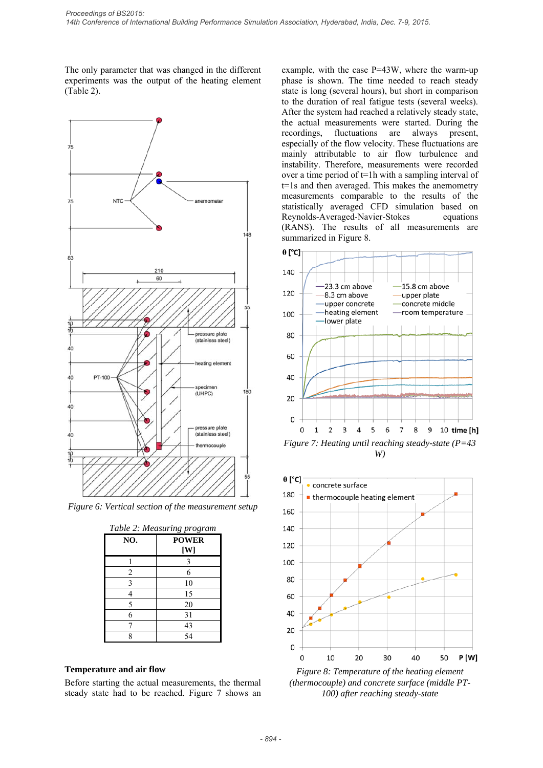The only parameter that was changed in the different experiments was the output of the heating element (Table 2).



*Figure 6: Vertical section of the measurement setup* 

| Table 2: Measuring program |                     |  |
|----------------------------|---------------------|--|
| NO.                        | <b>POWER</b><br>[W] |  |
|                            | 3                   |  |
| $\overline{c}$             | 6                   |  |
| 3                          | 10                  |  |
|                            | 15                  |  |
| 5                          | 20                  |  |
| 6                          | 31                  |  |
|                            | 43                  |  |
| Q                          | 54                  |  |

### **Temperature and air flow**

Before starting the actual measurements, the thermal steady state had to be reached. Figure 7 shows an example, with the case P=43W, where the warm-up phase is shown. The time needed to reach steady state is long (several hours), but short in comparison to the duration of real fatigue tests (several weeks). After the system had reached a relatively steady state, the actual measurements were started. During the recordings, fluctuations are always present, especially of the flow velocity. These fluctuations are mainly attributable to air flow turbulence and instability. Therefore, measurements were recorded over a time period of t=1h with a sampling interval of t=1s and then averaged. This makes the anemometry measurements comparable to the results of the statistically averaged CFD simulation based on Reynolds-Averaged-Navier-Stokes equations (RANS). The results of all measurements are summarized in Figure 8.



*W)* 



*Figure 8: Temperature of the heating element (thermocouple) and concrete surface (middle PT-100) after reaching steady-state*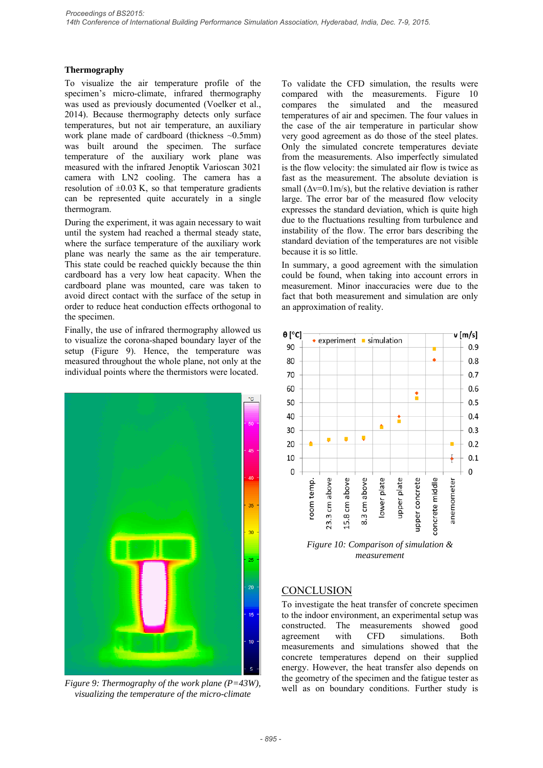### **Thermography**

To visualize the air temperature profile of the specimen's micro-climate, infrared thermography was used as previously documented (Voelker et al., 2014). Because thermography detects only surface temperatures, but not air temperature, an auxiliary work plane made of cardboard (thickness  $\sim 0.5$ mm) was built around the specimen. The surface temperature of the auxiliary work plane was measured with the infrared Jenoptik Varioscan 3021 camera with LN2 cooling. The camera has a resolution of  $\pm 0.03$  K, so that temperature gradients can be represented quite accurately in a single thermogram.

During the experiment, it was again necessary to wait until the system had reached a thermal steady state, where the surface temperature of the auxiliary work plane was nearly the same as the air temperature. This state could be reached quickly because the thin cardboard has a very low heat capacity. When the cardboard plane was mounted, care was taken to avoid direct contact with the surface of the setup in order to reduce heat conduction effects orthogonal to the specimen.

Finally, the use of infrared thermography allowed us to visualize the corona-shaped boundary layer of the setup (Figure 9). Hence, the temperature was measured throughout the whole plane, not only at the individual points where the thermistors were located.



*Figure 9: Thermography of the work plane (P=43W), visualizing the temperature of the micro-climate* 

To validate the CFD simulation, the results were compared with the measurements. Figure 10 compares the simulated and the measured temperatures of air and specimen. The four values in the case of the air temperature in particular show very good agreement as do those of the steel plates. Only the simulated concrete temperatures deviate from the measurements. Also imperfectly simulated is the flow velocity: the simulated air flow is twice as fast as the measurement. The absolute deviation is small  $(\Delta v=0.1 \text{m/s})$ , but the relative deviation is rather large. The error bar of the measured flow velocity expresses the standard deviation, which is quite high due to the fluctuations resulting from turbulence and instability of the flow. The error bars describing the standard deviation of the temperatures are not visible because it is so little.

In summary, a good agreement with the simulation could be found, when taking into account errors in measurement. Minor inaccuracies were due to the fact that both measurement and simulation are only an approximation of reality.



*measurement* 

# **CONCLUSION**

To investigate the heat transfer of concrete specimen to the indoor environment, an experimental setup was constructed. The measurements showed good agreement with CFD simulations. Both measurements and simulations showed that the concrete temperatures depend on their supplied energy. However, the heat transfer also depends on the geometry of the specimen and the fatigue tester as well as on boundary conditions. Further study is